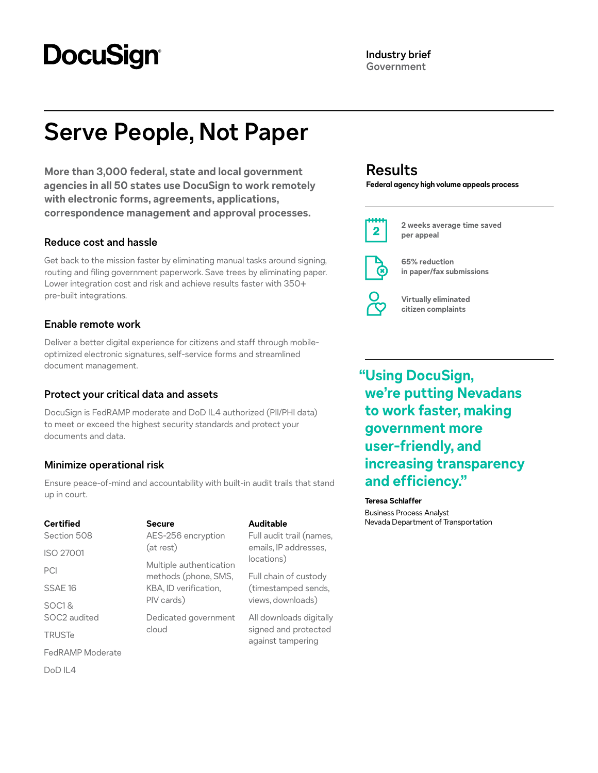# **DocuSign®**

# **Serve People, Not Paper**

**More than 3,000 federal, state and local government agencies in all 50 states use DocuSign to work remotely with electronic forms, agreements, applications, correspondence management and approval processes.**

## **Reduce cost and hassle**

Get back to the mission faster by eliminating manual tasks around signing, routing and filing government paperwork. Save trees by eliminating paper. Lower integration cost and risk and achieve results faster with 350+ pre-built integrations.

# **Enable remote work**

Deliver a better digital experience for citizens and staff through mobileoptimized electronic signatures, self-service forms and streamlined document management.

# **Protect your critical data and assets**

DocuSign is FedRAMP moderate and DoD IL4 authorized (PII/PHI data) to meet or exceed the highest security standards and protect your documents and data.

# **Minimize operational risk**

Ensure peace-of-mind and accountability with built-in audit trails that stand up in court.

| <b>Certified</b><br>Section 508 | <b>Secure</b><br>AES-256 encryption<br>(at rest)<br>Multiple authentication<br>methods (phone, SMS,<br>KBA, ID verification,<br>PIV cards) | <b>Auditable</b><br>Full audit trail (names,<br>emails, IP addresses,<br>locations) |
|---------------------------------|--------------------------------------------------------------------------------------------------------------------------------------------|-------------------------------------------------------------------------------------|
| <b>ISO 27001</b>                |                                                                                                                                            |                                                                                     |
| PCI                             |                                                                                                                                            | Full chain of custody<br>(timestamped sends,<br>views, downloads)                   |
| SSAE 16                         |                                                                                                                                            |                                                                                     |
| SOC <sub>1</sub> &              |                                                                                                                                            |                                                                                     |
| SOC2 audited                    | Dedicated government<br>cloud                                                                                                              | All downloads digitally<br>signed and protected<br>against tampering                |
| <b>TRUSTe</b>                   |                                                                                                                                            |                                                                                     |
| FedRAMP Moderate                |                                                                                                                                            |                                                                                     |
| $D_0D \parallel 4$              |                                                                                                                                            |                                                                                     |

# **Results**

**Federal agency high volume appeals process**



**2 weeks average time saved per appeal**



**65% reduction in paper/fax submissions**

**Virtually eliminated citizen complaints**

**"Using DocuSign, we're putting Nevadans to work faster, making government more user-friendly, and increasing transparency and efficiency."**

### **Teresa Schlaffer**

Business Process Analyst **Nevada Department of Transportation**